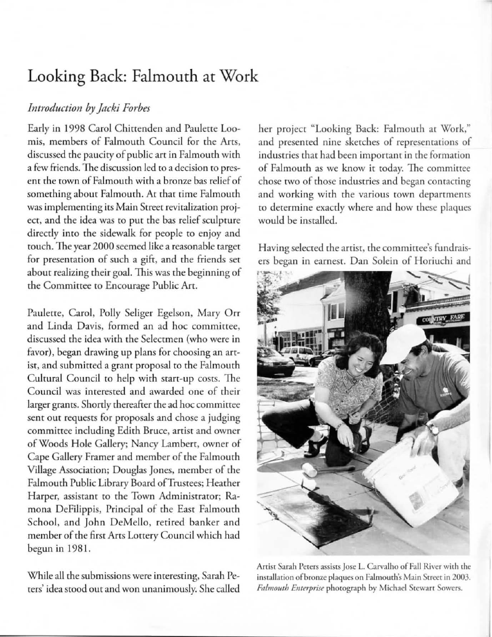## Looking Back: Falmouth at Work

## *Introduction by Jacki Forbes*

Early in 1998 Carol Chittenden and Paulette Loomis, members of Falmouth Council for the Arts. discussed the paucity of public art in Falmouth with a few friends. The discussion led ro a decision ro presen< the rown of Falmouth with a bronze bas relief of something about Falmouth. At that time Falmouth **was implementing irs Main Street revitalization proj**ect, and the idea was to put the bas relief sculpture directly inro the sidewalk for people to enjoy and rouch. 1he year 2000 seemed like a reasonable target for presentation of such a gift, and the friends set about realizing their goal. This was the beginning of the Committee to Encourage Public Art.

Paulette, Carol, Polly Seliger Egelson, Mary Orr and Linda Davis, formed an ad hoc committee, discussed the idea with the Selectmen (who were in favor), began drawing up plans for choosing an arrist, and submitted a grant proposal to the Falmouth Cultural Council to help with start-up costs. The **Counci l was in terested and awarded o ne of their**  larger grants. Shortly thereafter the ad hoc committee sent out requests for proposals and chose a judging committee including Edith Bruce, artist and owner of Woods Hole Gallery; Nancy Lamberr, owner of Cape Gallery Framer and member of the Falmouth Village Association; Douglas Jones, member of the Falmouth Public Library Board of Trustees; Heather Harper, assistant to the Town Administrator; Ramona DeFilippis, Principal of the East Falmourh School, and John DeMello, retired banker and member of the first Arts Lottery Council which had begun in 1981.

While all the submissions were interesting, Sarah Peters' idea srood out and won unanimously. She called her project "Looking Back: Falmouth at Work," **and presented nine sketches of representations of industries that had been important in rhe formation of Falmouth as we know it roday. The committee chose (\\10 of those industries and began contacting**  and working with the various town departments to determine exactly where and how these plaques would be installed.

**Having selecred the artist. the committee's fundrais**ers began in earnest. Dan Solein of Horiuchi and



**Anist Sarah Peters assists Jose L. Carvalho of Fall River wirh rhe**  installation of bronze plaques on Falmouth's Main Street in 2003. Falmouth Enterprise photograph by Michael Stewart Sowers.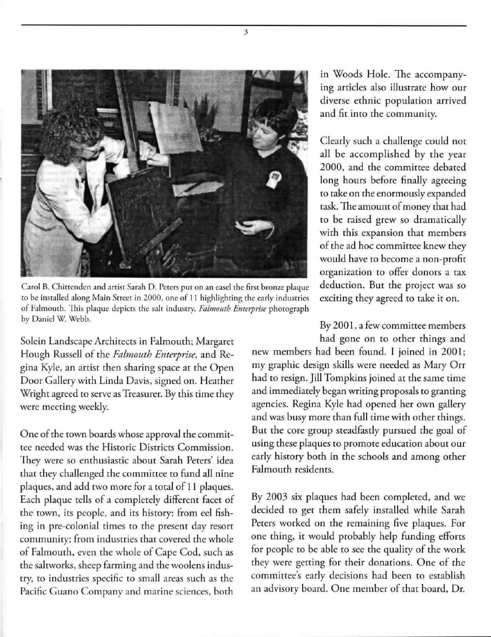

3

Carol B. Chittenden and artist Sarah D. Peters put on an easel the first bronze plaque **to be installed along Main Street in 2000, one of 11 highlighting the early industries of Falmouth.** This plaque depicts the salt industry. *Falmouth Enterprise* photograph by Daniel W. Webb.

Solein Landscape Architects in Falmouth; Margaret Hough Russell of the *Falmouth Enterprise*, and Regina Kyle, an arrist then sharing space at the Open Door Gallery with Linda Davis, signed on. Heather Wright agreed to serve as Treasurer. By this time they **were meecing weekly.** 

One of the town boards whose approval the commit**tee needed was the Historic Districts Com\_mission. They were so enthusiastic about Sarah Peters' idea**  thar they challenged the committee to fund all nine plaques, and add two more for a total of 11 plaques. Each plaque tells of a completely different facet of the town, its people, and its history: from eel fishing in pre-colonial times to the present day resort **communi ry; from industries that covered the whole**  of Falmouth, even the whole of Cape Cod, such as the saltworks, sheep farming and the woolens industry, to industries specific to small areas such as the **Pacific Guano Company and marine sciences, borh** 

in Woods Hole. The accompanying articles also illustrate how our **diverse erhnic popularion arrived and fit inro the community.** 

Clearly such a challenge could not all be accomplished by the year 2000, and the committee debated long hours before finally agreeing to take on the enormously expanded task. The amount of money that had to be raised grew so dramatically **with this expansion rhat members**  of the ad hoc committee knew they would have to become a non-profit **organization ro offer donors a tax**  deduction. Bur the project was so exciting they agreed to take it on.

By 2001, a few committee members had gone on to other things and

new members had been found. I joined in 2001; my graphic design skills were needed as Mary Orr had to resign. Jill Tompkins joined at the same time and immediately began writing proposals to granting agencies. Regina Kyle had opened her own gallery and was busy more than full time with other things. But the core group steadfastly pursued the goal of using these plaques to promote education about our early history both in the schools and among other Falmouth residents.

By 2003 six plaques had been completed, and we decided to get them safely installed while Sarah Peters worked on the remaining five plaques. For one thing, it would probably help funding efforts for people to be able to see the qualiry of the work they were getting for their donations. One of the committee's early decisions had been to establish an advisory board. One member of that board, Dr.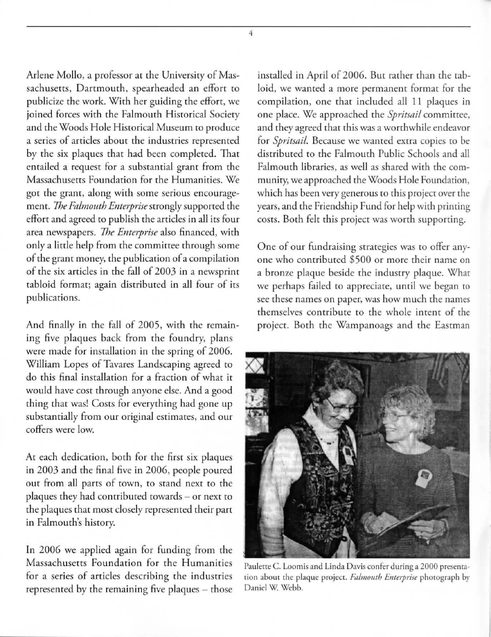Arlene Mollo. a professor at the University of Massachusetts, Dartmouth, spearheaded an effort to publicize the work. With her guiding the effort, we joined forces with the Falmouth Historical Society and the Woods Hole Historical Museum to produce a series of articles about the industries represented by the six plaques that had been completed. That entailed a request for a substantial grant from the **Massachusetts Foundation for the Humanities. We** got the grant, along with some serious encouragement. *The Falmouth Enterprise* strongly supported the effort and agreed to publish the articles in all its four **area newspapers.** *The Enterprise* **also financed. with**  only a little help from the committee through some **of the grant money, the publication of a compilation**  of the six articles in the fall of 2003 in a newsprint tabloid format; again distributed in all four of its publications.

And finally in the fall of 2005. with the remaining five plaques back from the foundry, plans were made for installation in the spring of 2006. William Lopes of Tavares Landscaping agreed to do this final installation for a fraction of what it would have cost through anyone else. And a good thing that was! Costs for everything had gone up  $substantially from our original estimates, and our$ **coffers were low.** 

At each dedication, both for the first six plaques in 2003 and the final five in 2006, people poured out from all parts of town, to stand next to the plaques they had contributed towards - or next to the plaques that most closely represented their part in Falmouth's history.

**In** 2006 we applied again for funding from the **Massachusetts Foundation for the Humanities** for a series of articles describing the industries represented by the remaining five plaques - those

installed in April of 2006. But rather than the tabloid, we wanted a more permanent format for the compilation, one that included all 11 plaques in one place. We approached the *Spritsail* committee. and they agreed that this was a worthwhile endeavor **for** *Spritsai!.* **Because we wanted extra copies (Q be**  distributed to the Falmouth Public Schools and all Falmouth libraries, as well as shared with the community, we approached the Woods Hole Foundation, which has been very generous to this project over the years. and the Friendship Fund for help with priming costs. Both felt this project was worth supporting.

One of our fundraising strategies was to offer any**o ne who contributed \$500 o r more their name on**  a bronze plaque beside the industry plaque. What we perhaps failed to appreciate, until we began to **see these names on paper, was how much the names themselves co ntribute to the whole intent of the**  project. Both the Wampanoags and the Eastman



Paulette C. Loomis and Linda Davis confer during a 2000 presentation about the plaque project. Falmouth Enterprise photograph by Daniel W. Webb.

4